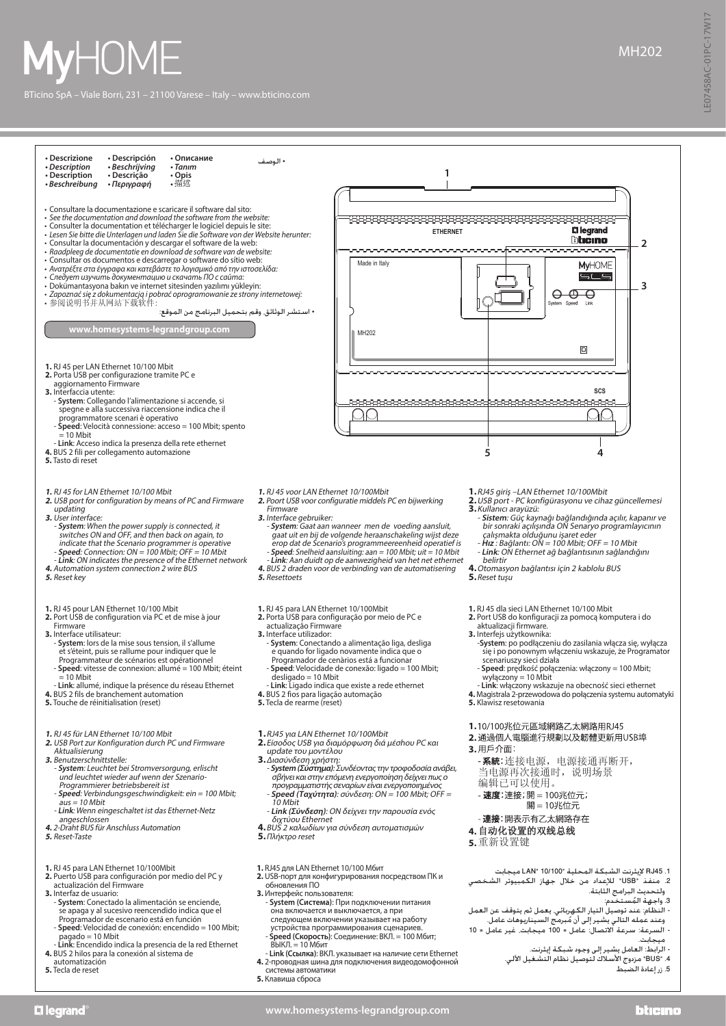



- pagado = 10 Mbit **Link**: Encendido indica la presencia de la red Ethernet **4.** BUS 2 hilos para la conexión al sistema de
- automatización **5.** Tecla de reset
- 
- устройства программирования сценариев.<br>- **Speed (Скорость)**: Соединение: ВКЛ. = 100 Мбит;<br>- ВЫКЛ. = 10 Мбит
- **Link (Ссылка)**: ВКЛ. указывает на наличие сети Ethernet **4.** 2-проводная шина для подключения видеодомофонной
- системы автоматики **5.** Клавиша сброса
- 
- **www.homesystems-legrandgroup.com**
- hheino
- ميجابت.
	- الرابط: العامل يشير إلى وجود شبكة إيثرنت. .4 "BUS "مزدوج األسالك لتوصيل نظام التشغيل اآللي. .<br>5. زر إعادة الضبط